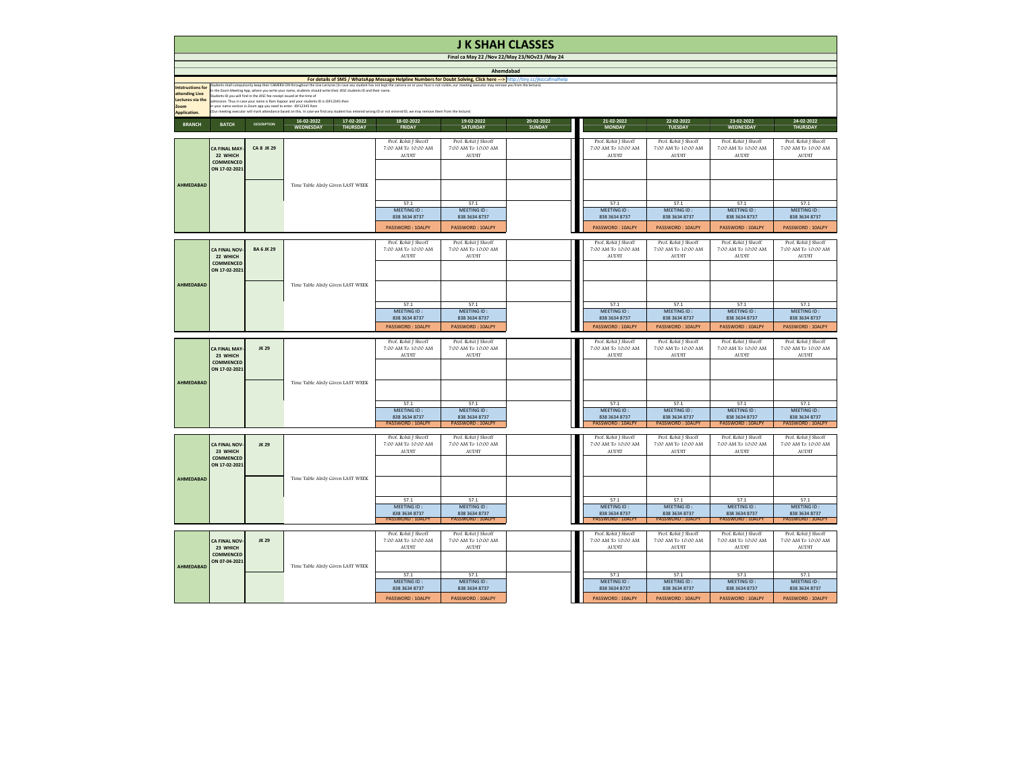|                                                                                                                                                                                                                                                                                                                                                                                                                                                                                                                                                                                                                                                                                                                                                                                                                                                     |                                                                       |                                                                                                                                       |                                                                 | Final ca May 22 / Nov 22/May 23/NOv23 / May 24              |                                                             |                             |                                                             |                                                             |                                                             |                                                             |  |  |  |
|-----------------------------------------------------------------------------------------------------------------------------------------------------------------------------------------------------------------------------------------------------------------------------------------------------------------------------------------------------------------------------------------------------------------------------------------------------------------------------------------------------------------------------------------------------------------------------------------------------------------------------------------------------------------------------------------------------------------------------------------------------------------------------------------------------------------------------------------------------|-----------------------------------------------------------------------|---------------------------------------------------------------------------------------------------------------------------------------|-----------------------------------------------------------------|-------------------------------------------------------------|-------------------------------------------------------------|-----------------------------|-------------------------------------------------------------|-------------------------------------------------------------|-------------------------------------------------------------|-------------------------------------------------------------|--|--|--|
|                                                                                                                                                                                                                                                                                                                                                                                                                                                                                                                                                                                                                                                                                                                                                                                                                                                     |                                                                       | Ahemdabad<br>For details of SMS / WhatsApp Message Helpline Numbers for Doubt Solving, Click here ---> http://tiny.cc/jksccafinalhelp |                                                                 |                                                             |                                                             |                             |                                                             |                                                             |                                                             |                                                             |  |  |  |
| Intstructions for students shall compulsorily keep their CAMERA ON throughout the Live Lectures (in case any student has not kept the camera on or your face is not visible, our meeting executor may remove you from the lect<br>In the Zoom Meeting App, where you write your name, students should write their JKSC students ID and their name.<br>attending Live<br>Students ID you will find in the JKSC fee receipt issued at the time of<br><b>Lectures via the</b><br>admission. Thus in case your name is Ram Kapoor and your students ID is JDF12345 then<br>in your name section in Zoom app you need to enter- JDF12345 Ram<br><b>Zoom</b><br>(Our meeting executor will mark attendance based on this. In case we find any student has entered wrong ID or not entered ID, we may remove them from the lecture)<br><b>Application.</b> |                                                                       |                                                                                                                                       |                                                                 |                                                             |                                                             |                             |                                                             |                                                             |                                                             |                                                             |  |  |  |
| <b>BRANCH</b>                                                                                                                                                                                                                                                                                                                                                                                                                                                                                                                                                                                                                                                                                                                                                                                                                                       | <b>BATCH</b>                                                          | <b>DESCRIPTION</b>                                                                                                                    | 16-02-2022<br>17-02-2022<br><b>WEDNESDAY</b><br><b>THURSDAY</b> | 18-02-2022<br><b>FRIDAY</b>                                 | 19-02-2022<br><b>SATURDAY</b>                               | 20-02-2022<br><b>SUNDAY</b> | 21-02-2022<br><b>MONDAY</b>                                 | 22-02-2022<br><b>TUESDAY</b>                                | 23-02-2022<br><b>WEDNESDAY</b>                              | 24-02-2022<br><b>THURSDAY</b>                               |  |  |  |
|                                                                                                                                                                                                                                                                                                                                                                                                                                                                                                                                                                                                                                                                                                                                                                                                                                                     | <b>CA FINAL MAY-</b><br>22 WHICH<br><b>COMMENCED</b><br>ON 17-02-2021 | <b>CA 8 JK 29</b>                                                                                                                     |                                                                 | Prof. Rohit J Shroff<br>7:00 AM To 10:00 AM<br><b>AUDIT</b> | Prof. Rohit J Shroff<br>7:00 AM To 10:00 AM<br><b>AUDIT</b> |                             | Prof. Rohit J Shroff<br>7:00 AM To 10:00 AM<br><b>AUDIT</b> | Prof. Rohit J Shroff<br>7:00 AM To 10:00 AM<br><b>AUDIT</b> | Prof. Rohit J Shroff<br>7:00 AM To 10:00 AM<br><b>AUDIT</b> | Prof. Rohit J Shroff<br>7:00 AM To 10:00 AM<br><b>AUDIT</b> |  |  |  |
| <b>AHMEDABAD</b>                                                                                                                                                                                                                                                                                                                                                                                                                                                                                                                                                                                                                                                                                                                                                                                                                                    |                                                                       |                                                                                                                                       | Time Table Alrdy Given LAST WEEK                                | 57.1<br>MEETING ID:                                         | 57.1<br><b>MEETING ID:</b>                                  |                             | 57.1<br>MEETING ID:                                         | 57.1<br>MEETING ID:                                         | 57.1<br>MEETING ID:                                         | 57.1<br>MEETING ID:                                         |  |  |  |
|                                                                                                                                                                                                                                                                                                                                                                                                                                                                                                                                                                                                                                                                                                                                                                                                                                                     |                                                                       |                                                                                                                                       |                                                                 | 838 3634 8737<br><b>PASSWORD: 10ALPY</b>                    | 838 3634 8737<br><b>PASSWORD: 10ALPY</b>                    |                             | 838 3634 8737<br>PASSWORD: 10ALPY                           | 838 3634 8737<br><b>PASSWORD: 10ALPY</b>                    | 838 3634 8737<br><b>PASSWORD: 10ALPY</b>                    | 838 3634 8737<br><b>PASSWORD: 10ALPY</b>                    |  |  |  |
|                                                                                                                                                                                                                                                                                                                                                                                                                                                                                                                                                                                                                                                                                                                                                                                                                                                     | <b>CA FINAL NOV-</b><br>22 WHICH<br><b>COMMENCED</b><br>ON 17-02-2021 | <b>BA 6 JK 29</b>                                                                                                                     |                                                                 | Prof. Rohit J Shroff<br>7:00 AM To 10:00 AM<br><b>AUDIT</b> | Prof. Rohit J Shroff<br>7:00 AM To 10:00 AM<br><b>AUDIT</b> |                             | Prof. Rohit J Shroff<br>7:00 AM To 10:00 AM<br><b>AUDIT</b> | Prof. Rohit J Shroff<br>7:00 AM To 10:00 AM<br><b>AUDIT</b> | Prof. Rohit J Shroff<br>7:00 AM To 10:00 AM<br><b>AUDIT</b> | Prof. Rohit J Shroff<br>7:00 AM To 10:00 AM<br><b>AUDIT</b> |  |  |  |
| <b>AHMEDABAD</b>                                                                                                                                                                                                                                                                                                                                                                                                                                                                                                                                                                                                                                                                                                                                                                                                                                    |                                                                       |                                                                                                                                       | Time Table Alrdy Given LAST WEEK                                | 57.1<br>MEETING ID:                                         | 57.1<br>MEETING ID:                                         |                             | 57.1<br>MEETING ID:                                         | 57.1<br>MEETING ID:                                         | 57.1<br>MEETING ID:                                         | 57.1<br>MEETING ID:                                         |  |  |  |
|                                                                                                                                                                                                                                                                                                                                                                                                                                                                                                                                                                                                                                                                                                                                                                                                                                                     |                                                                       |                                                                                                                                       |                                                                 | 838 3634 8737<br>PASSWORD: 10ALPY                           | 838 3634 8737<br><b>PASSWORD: 10ALPY</b>                    |                             | 838 3634 8737<br>PASSWORD: 10ALPY                           | 838 3634 8737<br>PASSWORD: 10ALPY                           | 838 3634 8737<br>PASSWORD: 10ALPY                           | 838 3634 8737<br>PASSWORD: 10ALPY                           |  |  |  |
|                                                                                                                                                                                                                                                                                                                                                                                                                                                                                                                                                                                                                                                                                                                                                                                                                                                     | <b>CA FINAL MAY-</b><br>23 WHICH<br><b>COMMENCED</b><br>ON 17-02-2021 | <b>JK 29</b>                                                                                                                          |                                                                 | Prof. Rohit J Shroff<br>7:00 AM To 10:00 AM<br><b>AUDIT</b> | Prof. Rohit J Shroff<br>7:00 AM To 10:00 AM<br>AUDIT        |                             | Prof. Rohit J Shroff<br>7:00 AM To 10:00 AM<br><b>AUDIT</b> | Prof. Rohit J Shroff<br>7:00 AM To 10:00 AM<br><b>AUDIT</b> | Prof. Rohit J Shroff<br>7:00 AM To 10:00 AM<br>AUDIT        | Prof. Rohit J Shroff<br>7:00 AM To 10:00 AM<br><b>AUDIT</b> |  |  |  |
| <b>AHMEDABAD</b>                                                                                                                                                                                                                                                                                                                                                                                                                                                                                                                                                                                                                                                                                                                                                                                                                                    |                                                                       |                                                                                                                                       | Time Table Alrdy Given LAST WEEK                                | 57.1                                                        | 57.1                                                        |                             | 57.1                                                        | 57.1                                                        | 57.1                                                        | 57.1                                                        |  |  |  |
|                                                                                                                                                                                                                                                                                                                                                                                                                                                                                                                                                                                                                                                                                                                                                                                                                                                     |                                                                       |                                                                                                                                       |                                                                 | MEETING ID:<br>838 3634 8737<br><b>PASSWORD: 10ALPY</b>     | MEETING ID:<br>838 3634 8737<br><b>PASSWORD: 10ALPY</b>     |                             | MEETING ID:<br>838 3634 8737<br><b>PASSWORD: 10ALPY</b>     | MEETING ID:<br>838 3634 8737<br><b>PASSWORD: 10ALPY</b>     | MEETING ID:<br>838 3634 8737<br><b>PASSWORD: 10ALPY</b>     | MEETING ID:<br>838 3634 8737<br>PASSWORD: 10ALPY            |  |  |  |
|                                                                                                                                                                                                                                                                                                                                                                                                                                                                                                                                                                                                                                                                                                                                                                                                                                                     | <b>CA FINAL NOV-</b><br>23 WHICH<br><b>COMMENCED</b><br>ON 17-02-2021 | <b>JK 29</b>                                                                                                                          |                                                                 | Prof. Rohit J Shroff<br>7:00 AM To 10:00 AM<br><b>AUDIT</b> | Prof. Rohit J Shroff<br>7:00 AM To 10:00 AM<br>AUDIT        |                             | Prof. Rohit J Shroff<br>7:00 AM To 10:00 AM<br><b>AUDIT</b> | Prof. Rohit J Shroff<br>7:00 AM To 10:00 AM<br><b>AUDIT</b> | Prof. Rohit J Shroff<br>7:00 AM To 10:00 AM<br><b>AUDIT</b> | Prof. Rohit J Shroff<br>7:00 AM To 10:00 AM<br><b>AUDIT</b> |  |  |  |
| <b>AHMEDABAD</b>                                                                                                                                                                                                                                                                                                                                                                                                                                                                                                                                                                                                                                                                                                                                                                                                                                    |                                                                       |                                                                                                                                       | Time Table Alrdy Given LAST WEEK                                | 57.1                                                        | 57.1                                                        |                             | 57.1                                                        | 57.1                                                        | 57.1                                                        | 57.1                                                        |  |  |  |
|                                                                                                                                                                                                                                                                                                                                                                                                                                                                                                                                                                                                                                                                                                                                                                                                                                                     |                                                                       |                                                                                                                                       |                                                                 | MEETING ID:<br>838 3634 8737<br><b>PASSWORD: 10ALPY</b>     | MEETING ID:<br>838 3634 8737<br>PASSWORD: 10ALPY            |                             | MEETING ID:<br>838 3634 8737<br>PASSWORD: 10ALPY            | MEETING ID:<br>838 3634 8737<br>PASSWORD: 10ALPY            | MEETING ID:<br>838 3634 8737<br><b>PASSWORD: 10ALPY</b>     | MEETING ID:<br>838 3634 8737<br>PASSWORD: 10ALPY            |  |  |  |
|                                                                                                                                                                                                                                                                                                                                                                                                                                                                                                                                                                                                                                                                                                                                                                                                                                                     | <b>CA FINAL NOV-</b><br>23 WHICH<br><b>COMMENCED</b><br>ON 07-04-2021 | <b>JK 29</b>                                                                                                                          |                                                                 | Prof. Rohit J Shroff<br>7:00 AM To 10:00 AM<br><b>AUDIT</b> | Prof. Rohit J Shroff<br>7:00 AM To 10:00 AM<br>AUDIT        |                             | Prof. Rohit J Shroff<br>7:00 AM To 10:00 AM<br><b>AUDIT</b> | Prof. Rohit J Shroff<br>7:00 AM To 10:00 AM<br><b>AUDIT</b> | Prof. Rohit J Shroff<br>7:00 AM To 10:00 AM<br>AUDIT        | Prof. Rohit J Shroff<br>7:00 AM To 10:00 AM<br><b>AUDIT</b> |  |  |  |
| <b>AHMEDABAD</b>                                                                                                                                                                                                                                                                                                                                                                                                                                                                                                                                                                                                                                                                                                                                                                                                                                    |                                                                       |                                                                                                                                       | Time Table Alrdy Given LAST WEEK                                | 57.1<br>MEETING ID:<br>838 3634 8737<br>PASSWORD: 10ALPY    | 57.1<br>MEETING ID:<br>838 3634 8737<br>PASSWORD: 10ALPY    |                             | 57.1<br>MEETING ID:<br>838 3634 8737<br>PASSWORD: 10ALPY    | 57.1<br>MEETING ID:<br>838 3634 8737<br>PASSWORD: 10ALPY    | 57.1<br>MEETING ID:<br>838 3634 8737<br>PASSWORD: 10ALPY    | 57.1<br>MEETING ID:<br>838 3634 8737<br>PASSWORD: 10ALPY    |  |  |  |